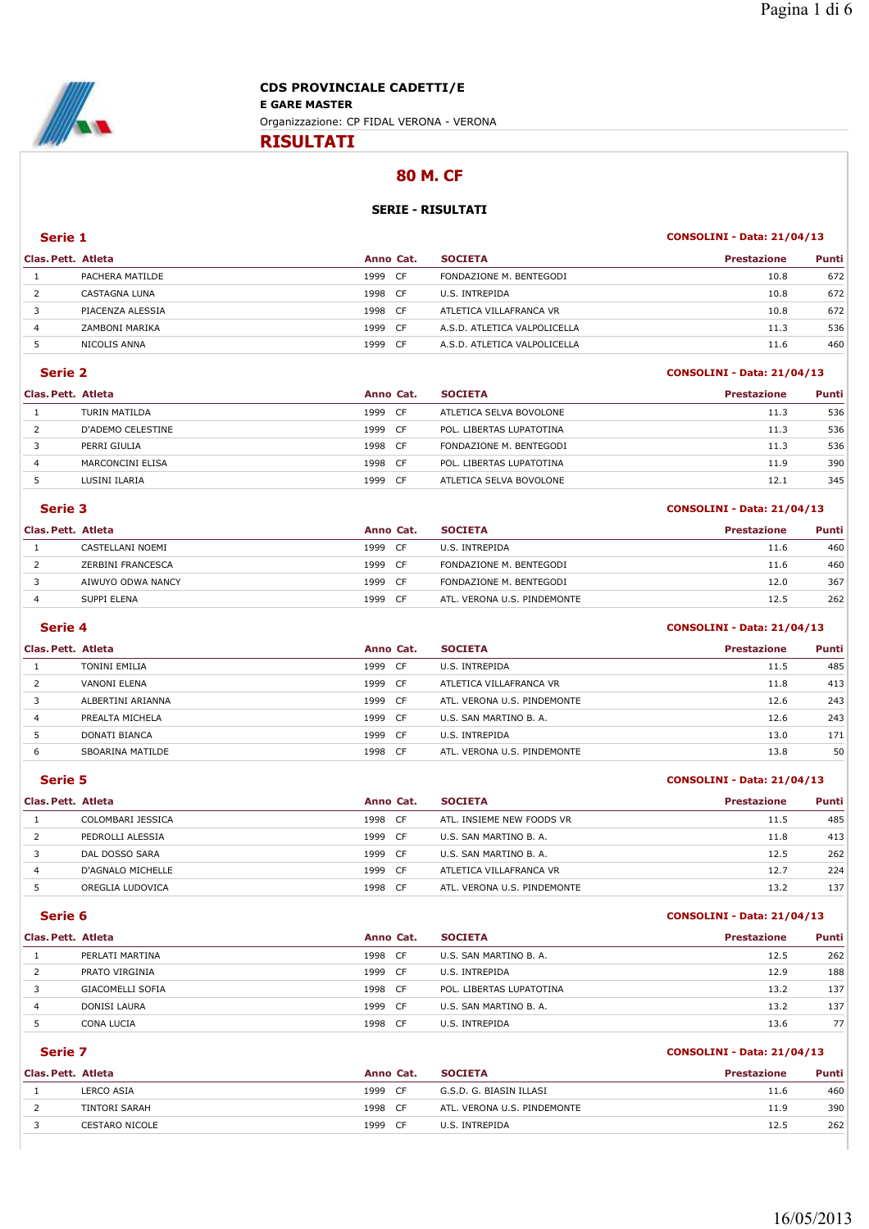

**RISULTATI**

# **80 M. CF**

## **SERIE - RISULTATI**

## **Serie 1 CONSOLINI - Data: 21/04/13**

| Clas. Pett. Atleta |                  | Anno Cat.    | <b>SOCIETA</b>               | <b>Prestazione</b> | Punti |
|--------------------|------------------|--------------|------------------------------|--------------------|-------|
|                    | PACHERA MATILDE  | 1999<br>- CF | FONDAZIONE M. BENTEGODI      | 10.8               | 672   |
|                    | CASTAGNA LUNA    | 1998 CF      | U.S. INTREPIDA               | 10.8               | 672   |
|                    | PIACENZA ALESSIA | 1998 CF      | ATLETICA VILLAFRANCA VR      | 10.8               | 672   |
| 4                  | ZAMBONI MARIKA   | 1999<br>- CF | A.S.D. ATLETICA VALPOLICELLA | 11.3               | 536   |
|                    | NICOLIS ANNA     | - CF<br>1999 | A.S.D. ATLETICA VALPOLICELLA | 11.6               | 460   |

#### **Serie 2 CONSOLINI - Data: 21/04/13**

| Clas. Pett. Atleta |                   | Anno Cat. |      | <b>SOCIETA</b>           | <b>Prestazione</b> | Punti |
|--------------------|-------------------|-----------|------|--------------------------|--------------------|-------|
|                    | TURIN MATILDA     | 1999      | CF.  | ATLETICA SELVA BOVOLONE  | 11.3               | 536   |
|                    | D'ADEMO CELESTINE | 1999      | CF   | POL. LIBERTAS LUPATOTINA | 11.3               | 536   |
|                    | PERRI GIULIA      | 1998      | - CF | FONDAZIONE M. BENTEGODI  | 11.3               | 536   |
| 4                  | MARCONCINI ELISA  | 1998      | - CF | POL. LIBERTAS LUPATOTINA | 11.9               | 390   |
|                    | LUSINI ILARIA     | 1999      | CF   | ATLETICA SELVA BOVOLONE  | 12.1               | 345   |

#### **Serie 3 CONSOLINI - Data: 21/04/13**

| Clas. Pett. Atleta |                   | Anno Cat.    | <b>SOCIETA</b>              | <b>Prestazione</b> | Punti |
|--------------------|-------------------|--------------|-----------------------------|--------------------|-------|
|                    | CASTELLANI NOEMI  | 1999<br>- CF | U.S. INTREPIDA              | 11.6               | 460   |
|                    | ZERBINI FRANCESCA | 1999 CF      | FONDAZIONE M. BENTEGODI     | 11.6               | 460   |
|                    | AIWUYO ODWA NANCY | 1999 CF      | FONDAZIONE M. BENTEGODI     | 12.0               | 367   |
|                    | SUPPI ELENA       | 1999 CF      | ATL. VERONA U.S. PINDEMONTE | 12.5               | 262   |
|                    |                   |              |                             |                    |       |

#### **Serie 4 CONSOLINI - Data: 21/04/13**

| Clas. Pett. Atleta |                   |         | Anno Cat. | <b>SOCIETA</b>              | <b>Prestazione</b> | Punti |
|--------------------|-------------------|---------|-----------|-----------------------------|--------------------|-------|
|                    | TONINI EMILIA     | 1999 CF |           | U.S. INTREPIDA              | 11.5               | 485   |
| 2                  | VANONI ELENA      | 1999 CF |           | ATLETICA VILLAFRANCA VR     | 11.8               | 413   |
|                    | ALBERTINI ARIANNA | 1999 CF |           | ATL. VERONA U.S. PINDEMONTE | 12.6               | 243   |
| 4                  | PREALTA MICHELA   | 1999 CF |           | U.S. SAN MARTINO B. A.      | 12.6               | 243   |
| 5                  | DONATI BIANCA     | 1999 CF |           | U.S. INTREPIDA              | 13.0               | 171   |
| ь                  | SBOARINA MATILDE  | 1998 CF |           | ATL. VERONA U.S. PINDEMONTE | 13.8               | 50    |
|                    |                   |         |           |                             |                    |       |

# **Serie 5 CONSOLINI - Data: 21/04/13**

| Clas. Pett. Atleta |                   | Anno Cat.    | <b>SOCIETA</b>              | <b>Prestazione</b> | Punti |
|--------------------|-------------------|--------------|-----------------------------|--------------------|-------|
|                    | COLOMBARI JESSICA | 1998 CF      | ATL. INSIEME NEW FOODS VR   | 11.5               | 485   |
|                    | PEDROLLI ALESSIA  | 1999<br>- CF | U.S. SAN MARTINO B. A.      | 11.8               | 413   |
|                    | DAL DOSSO SARA    | 1999<br>- CF | U.S. SAN MARTINO B. A.      | 12.5               | 262   |
| 4                  | D'AGNALO MICHELLE | 1999<br>- CF | ATLETICA VILLAFRANCA VR     | 12.7               | 224   |
|                    | OREGLIA LUDOVICA  | 1998 CF      | ATL. VERONA U.S. PINDEMONTE | 13.2               | 137   |
|                    |                   |              |                             |                    |       |

# **Serie 6 CONSOLINI - Data: 21/04/13**

| Clas. Pett. Atleta |                  | Anno Cat.    | <b>SOCIETA</b>           | <b>Prestazione</b> | Punti |
|--------------------|------------------|--------------|--------------------------|--------------------|-------|
|                    | PERLATI MARTINA  | 1998<br>CF   | U.S. SAN MARTINO B. A.   | 12.5               | 262   |
|                    | PRATO VIRGINIA   | 1999<br>CF.  | U.S. INTREPIDA           | 12.9               | 188   |
|                    | GIACOMELLI SOFIA | 1998<br>- CF | POL. LIBERTAS LUPATOTINA | 13.2               | 137   |
| 4                  | DONISI LAURA     | 1999<br>CF   | U.S. SAN MARTINO B. A.   | 13.2               | 137   |
|                    | CONA LUCIA       | 1998<br>CF.  | U.S. INTREPIDA           | 13.6               | 77    |

#### **Serie 7 CONSOLINI - Data: 21/04/13**

**Clas. Pett. Atleta Anno Cat. SOCIETA Prestazione Punti** 1 LERCO ASIA 1999 CF G.S.D. G. BIASIN ILLASI 11.6 460 2 TINTORI SARAH 1998 CF ATL. VERONA U.S. PINDEMONTE 11.9 390 3 CESTARO NICOLE 1999 CF U.S. INTREPIDA 12.5 262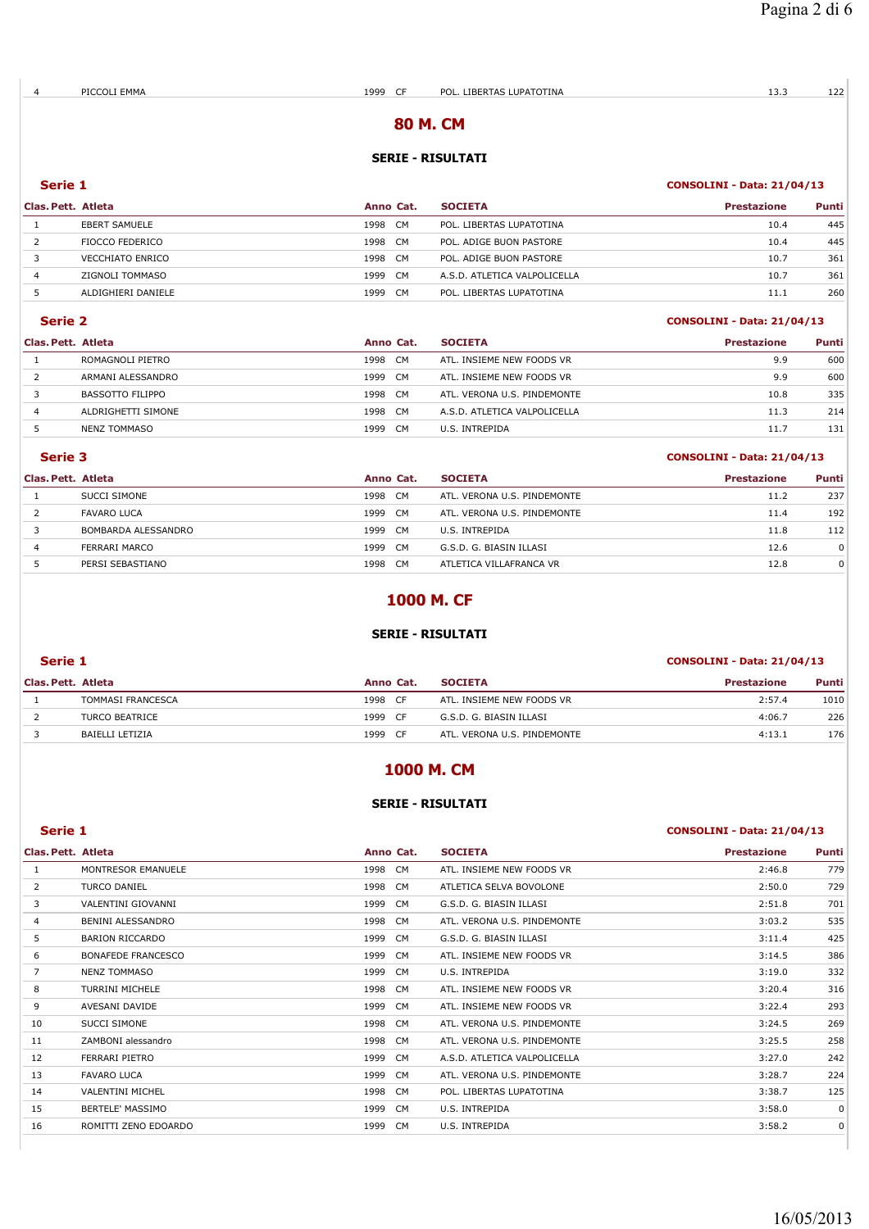# **80 M. CM**

## **SERIE - RISULTATI**

# **Serie 1 CONSOLINI - Data: 21/04/13**

| Clas. Pett. Atleta |                      | Anno Cat. |           | <b>SOCIETA</b>               | <b>Prestazione</b> | Punti |
|--------------------|----------------------|-----------|-----------|------------------------------|--------------------|-------|
|                    | <b>EBERT SAMUELE</b> | 1998      | <b>CM</b> | POL. LIBERTAS LUPATOTINA     | 10.4               | 445   |
|                    | FIOCCO FEDERICO      | 1998      | CM.       | POL. ADIGE BUON PASTORE      | 10.4               | 445   |
|                    | VECCHIATO ENRICO     | 1998      | CM.       | POL. ADIGE BUON PASTORE      | 10.7               | 361   |
| 4                  | ZIGNOLI TOMMASO      | 1999      | <b>CM</b> | A.S.D. ATLETICA VALPOLICELLA | 10.7               | 361   |
|                    | ALDIGHIERI DANIELE   | 1999      | CM        | POL. LIBERTAS LUPATOTINA     | 11.1               | 260   |

# **Serie 2 CONSOLINI - Data: 21/04/13**

| Clas. Pett. Atleta |                    | Anno Cat.         | <b>SOCIETA</b>               | <b>Prestazione</b> | Punti |
|--------------------|--------------------|-------------------|------------------------------|--------------------|-------|
|                    | ROMAGNOLI PIETRO   | 1998<br>CM.       | ATL. INSIEME NEW FOODS VR    | 9.9                | 600   |
|                    | ARMANI ALESSANDRO  | 1999<br>CM.       | ATL. INSIEME NEW FOODS VR    | 9.9                | 600   |
|                    | BASSOTTO FILIPPO   | 1998<br><b>CM</b> | ATL, VERONA U.S. PINDEMONTE  | 10.8               | 335   |
|                    | ALDRIGHETTI SIMONE | CM.<br>1998       | A.S.D. ATLETICA VALPOLICELLA | 11.3               | 214   |
|                    | NENZ TOMMASO       | <b>CM</b><br>1999 | U.S. INTREPIDA               | 11.7               | 131   |
|                    |                    |                   |                              |                    |       |

## **Serie 3 CONSOLINI - Data: 21/04/13**

| Clas. Pett. Atleta |                     | Anno Cat.   | <b>SOCIETA</b>              | <b>Prestazione</b> | Punti |
|--------------------|---------------------|-------------|-----------------------------|--------------------|-------|
|                    | <b>SUCCI SIMONE</b> | 1998<br>CM. | ATL. VERONA U.S. PINDEMONTE | 11.2               | 237   |
|                    | <b>FAVARO LUCA</b>  | 1999<br>CM. | ATL. VERONA U.S. PINDEMONTE | 11.4               | 192   |
|                    | BOMBARDA ALESSANDRO | 1999<br>CM. | U.S. INTREPIDA              | 11.8               | 112   |
|                    | FERRARI MARCO       | 1999<br>CM. | G.S.D. G. BIASIN ILLASI     | 12.6               | 0     |
|                    | PERSI SEBASTIANO    | 1998<br>CM. | ATLETICA VILLAFRANCA VR     | 12.8               | 0     |

# **1000 M. CF**

## **SERIE - RISULTATI**

### **Serie 1 CONSOLINI - Data: 21/04/13**

## **Clas. Pett. Atleta Anno Cat. SOCIETA Prestazione Punti** TOMMASI FRANCESCA 1998 CF ATL. INSIEME NEW FOODS VR 2:57.4 1010 2 TURCO BEATRICE 1999 CF G.S.D. G. BIASIN ILLASI 4:06.7 226 BAIELLI LETIZIA 1999 CF ATL. VERONA U.S. PINDEMONTE 4:13.1 176

# **1000 M. CM**

## **SERIE - RISULTATI**

#### **Serie 1 CONSOLINI - Data: 21/04/13**

| Clas. Pett. Atleta |                           | Anno Cat. | <b>SOCIETA</b>               | <b>Prestazione</b> | Punti       |
|--------------------|---------------------------|-----------|------------------------------|--------------------|-------------|
| 1                  | MONTRESOR EMANUELE        | 1998 CM   | ATL. INSIEME NEW FOODS VR    | 2:46.8             | 779         |
| 2                  | <b>TURCO DANIEL</b>       | 1998 CM   | ATLETICA SELVA BOVOLONE      | 2:50.0             | 729         |
| 3                  | VALENTINI GIOVANNI        | 1999 CM   | G.S.D. G. BIASIN ILLASI      | 2:51.8             | 701         |
| 4                  | BENINI ALESSANDRO         | 1998 CM   | ATL. VERONA U.S. PINDEMONTE  | 3:03.2             | 535         |
| 5                  | BARION RICCARDO           | 1999 CM   | G.S.D. G. BIASIN ILLASI      | 3:11.4             | 425         |
| 6                  | <b>BONAFEDE FRANCESCO</b> | 1999 CM   | ATL. INSIEME NEW FOODS VR    | 3:14.5             | 386         |
| 7                  | NENZ TOMMASO              | 1999 CM   | U.S. INTREPIDA               | 3:19.0             | 332         |
| 8                  | TURRINI MICHELE           | 1998 CM   | ATL. INSIEME NEW FOODS VR    | 3:20.4             | 316         |
| 9                  | AVESANI DAVIDE            | 1999 CM   | ATL. INSIEME NEW FOODS VR    | 3:22.4             | 293         |
| 10                 | SUCCI SIMONE              | 1998 CM   | ATL. VERONA U.S. PINDEMONTE  | 3:24.5             | 269         |
| 11                 | ZAMBONI alessandro        | 1998 CM   | ATL. VERONA U.S. PINDEMONTE  | 3:25.5             | 258         |
| 12                 | FERRARI PIETRO            | 1999 CM   | A.S.D. ATLETICA VALPOLICELLA | 3:27.0             | 242         |
| 13                 | <b>FAVARO LUCA</b>        | 1999 CM   | ATL. VERONA U.S. PINDEMONTE  | 3:28.7             | 224         |
| 14                 | <b>VALENTINI MICHEL</b>   | 1998 CM   | POL. LIBERTAS LUPATOTINA     | 3:38.7             | 125         |
| 15                 | BERTELE' MASSIMO          | 1999 CM   | U.S. INTREPIDA               | 3:58.0             | $\mathbf 0$ |
| 16                 | ROMITTI ZENO EDOARDO      | 1999 CM   | U.S. INTREPIDA               | 3:58.2             | $\mathbf 0$ |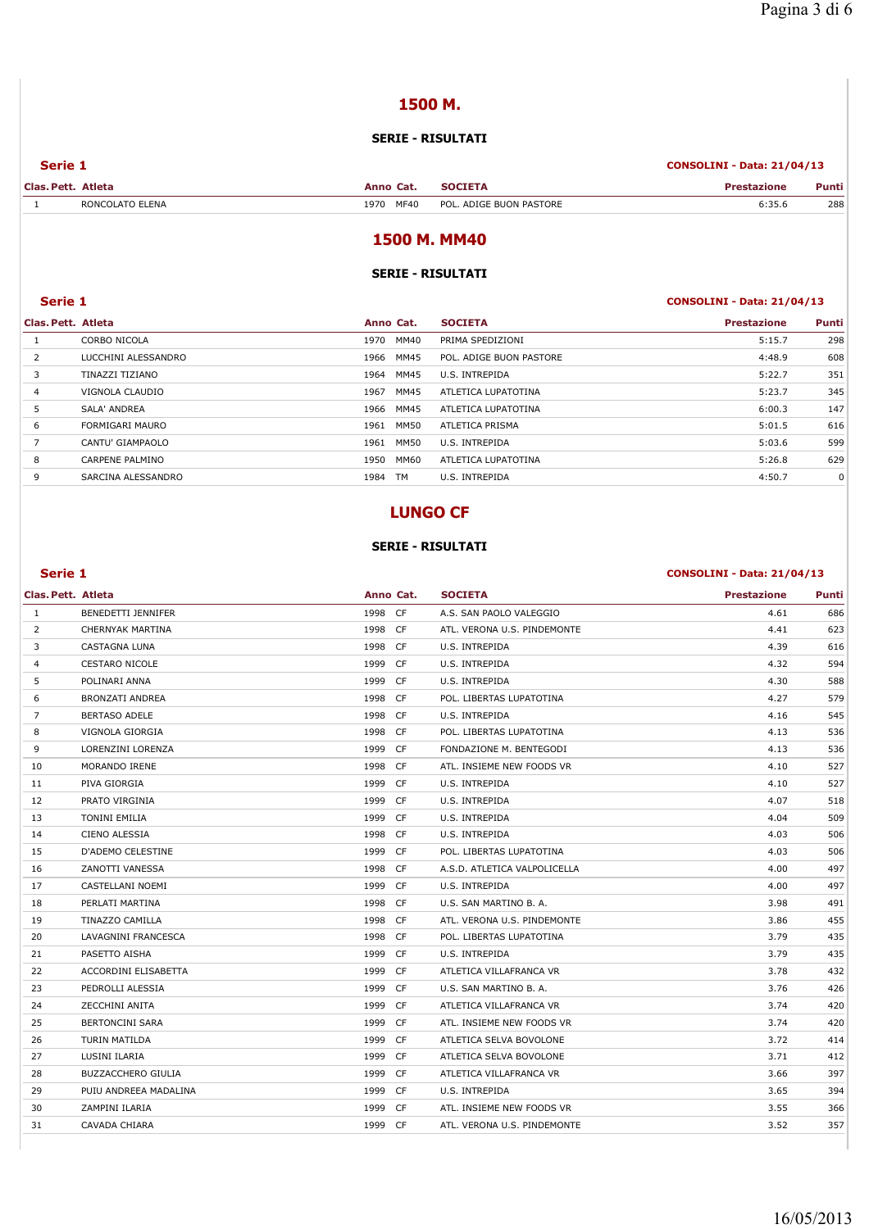# **1500 M.**

# **SERIE - RISULTATI**

| Serie 1            |                 |              | <b>CONSOLINI - Data: 21/04/13</b> |                    |       |
|--------------------|-----------------|--------------|-----------------------------------|--------------------|-------|
| Clas. Pett. Atleta |                 | Anno Cat.    | <b>SOCIETA</b>                    | <b>Prestazione</b> | Punti |
|                    | RONCOLATO ELENA | 1970<br>MF40 | POL. ADIGE BUON PASTORE           | 6:35.6             | 288   |

# **1500 M. MM40**

## **SERIE - RISULTATI**

# **Serie 1 CONSOLINI - Data: 21/04/13**

| Clas. Pett. Atleta |                     | Anno Cat.         | <b>SOCIETA</b>          | <b>Prestazione</b> | Punti |
|--------------------|---------------------|-------------------|-------------------------|--------------------|-------|
|                    | CORBO NICOLA        | MM40<br>1970      | PRIMA SPEDIZIONI        | 5:15.7             | 298   |
| $\overline{2}$     | LUCCHINI ALESSANDRO | MM45<br>1966      | POL. ADIGE BUON PASTORE | 4:48.9             | 608   |
| 3                  | TINAZZI TIZIANO     | MM45<br>1964      | U.S. INTREPIDA          | 5:22.7             | 351   |
| $\overline{4}$     | VIGNOLA CLAUDIO     | MM45<br>1967      | ATLETICA LUPATOTINA     | 5:23.7             | 345   |
| 5                  | SALA' ANDREA        | MM45<br>1966      | ATLETICA LUPATOTINA     | 6:00.3             | 147   |
| 6                  | FORMIGARI MAURO     | MM50<br>1961      | ATLETICA PRISMA         | 5:01.5             | 616   |
|                    | CANTU' GIAMPAOLO    | MM50<br>1961      | U.S. INTREPIDA          | 5:03.6             | 599   |
| 8                  | CARPENE PALMINO     | MM60<br>1950      | ATLETICA LUPATOTINA     | 5:26.8             | 629   |
| 9                  | SARCINA ALESSANDRO  | <b>TM</b><br>1984 | U.S. INTREPIDA          | 4:50.7             | 0     |
|                    |                     |                   |                         |                    |       |

# **LUNGO CF**

### **SERIE - RISULTATI**

## **Serie 1 CONSOLINI - Data: 21/04/13**

| Clas. Pett. Atleta |                           | Anno Cat.  | <b>SOCIETA</b>               | <b>Prestazione</b> | Punti |
|--------------------|---------------------------|------------|------------------------------|--------------------|-------|
| $\mathbf{1}$       | <b>BENEDETTI JENNIFER</b> | 1998 CF    | A.S. SAN PAOLO VALEGGIO      | 4.61               | 686   |
| $\overline{2}$     | CHERNYAK MARTINA          | 1998 CF    | ATL. VERONA U.S. PINDEMONTE  | 4.41               | 623   |
| 3                  | CASTAGNA LUNA             | 1998 CF    | U.S. INTREPIDA               | 4.39               | 616   |
| $\overline{4}$     | <b>CESTARO NICOLE</b>     | 1999 CF    | U.S. INTREPIDA               | 4.32               | 594   |
| 5                  | POLINARI ANNA             | 1999 CF    | U.S. INTREPIDA               | 4.30               | 588   |
| 6                  | <b>BRONZATI ANDREA</b>    | 1998 CF    | POL. LIBERTAS LUPATOTINA     | 4.27               | 579   |
| $\overline{7}$     | <b>BERTASO ADELE</b>      | 1998<br>CF | U.S. INTREPIDA               | 4.16               | 545   |
| 8                  | VIGNOLA GIORGIA           | 1998 CF    | POL. LIBERTAS LUPATOTINA     | 4.13               | 536   |
| 9                  | LORENZINI LORENZA         | 1999 CF    | FONDAZIONE M. BENTEGODI      | 4.13               | 536   |
| 10                 | MORANDO IRENE             | 1998<br>CF | ATL. INSIEME NEW FOODS VR    | 4.10               | 527   |
| 11                 | PIVA GIORGIA              | 1999 CF    | U.S. INTREPIDA               | 4.10               | 527   |
| 12                 | PRATO VIRGINIA            | 1999 CF    | U.S. INTREPIDA               | 4.07               | 518   |
| 13                 | <b>TONINI EMILIA</b>      | 1999<br>CF | U.S. INTREPIDA               | 4.04               | 509   |
| 14                 | CIENO ALESSIA             | 1998 CF    | U.S. INTREPIDA               | 4.03               | 506   |
| 15                 | <b>D'ADEMO CELESTINE</b>  | 1999 CF    | POL. LIBERTAS LUPATOTINA     | 4.03               | 506   |
| 16                 | ZANOTTI VANESSA           | 1998<br>CF | A.S.D. ATLETICA VALPOLICELLA | 4.00               | 497   |
| 17                 | CASTELLANI NOEMI          | 1999 CF    | U.S. INTREPIDA               | 4.00               | 497   |
| 18                 | PERLATI MARTINA           | 1998 CF    | U.S. SAN MARTINO B. A.       | 3.98               | 491   |
| 19                 | <b>TINAZZO CAMILLA</b>    | 1998<br>CF | ATL. VERONA U.S. PINDEMONTE  | 3.86               | 455   |
| 20                 | LAVAGNINI FRANCESCA       | 1998 CF    | POL. LIBERTAS LUPATOTINA     | 3.79               | 435   |
| 21                 | PASETTO AISHA             | 1999 CF    | U.S. INTREPIDA               | 3.79               | 435   |
| 22                 | ACCORDINI ELISABETTA      | 1999<br>CF | ATLETICA VILLAFRANCA VR      | 3.78               | 432   |
| 23                 | PEDROLLI ALESSIA          | 1999 CF    | U.S. SAN MARTINO B. A.       | 3.76               | 426   |
| 24                 | ZECCHINI ANITA            | 1999 CF    | ATLETICA VILLAFRANCA VR      | 3.74               | 420   |
| 25                 | <b>BERTONCINI SARA</b>    | 1999<br>CF | ATL. INSIEME NEW FOODS VR    | 3.74               | 420   |
| 26                 | TURIN MATILDA             | 1999<br>CF | ATLETICA SELVA BOVOLONE      | 3.72               | 414   |
| 27                 | LUSINI ILARIA             | 1999 CF    | ATLETICA SELVA BOVOLONE      | 3.71               | 412   |
| 28                 | <b>BUZZACCHERO GIULIA</b> | 1999<br>CF | ATLETICA VILLAFRANCA VR      | 3.66               | 397   |
| 29                 | PUIU ANDREEA MADALINA     | 1999 CF    | U.S. INTREPIDA               | 3.65               | 394   |
| 30                 | ZAMPINI ILARIA            | 1999 CF    | ATL. INSIEME NEW FOODS VR    | 3.55               | 366   |
| 31                 | CAVADA CHIARA             | 1999 CF    | ATL. VERONA U.S. PINDEMONTE  | 3.52               | 357   |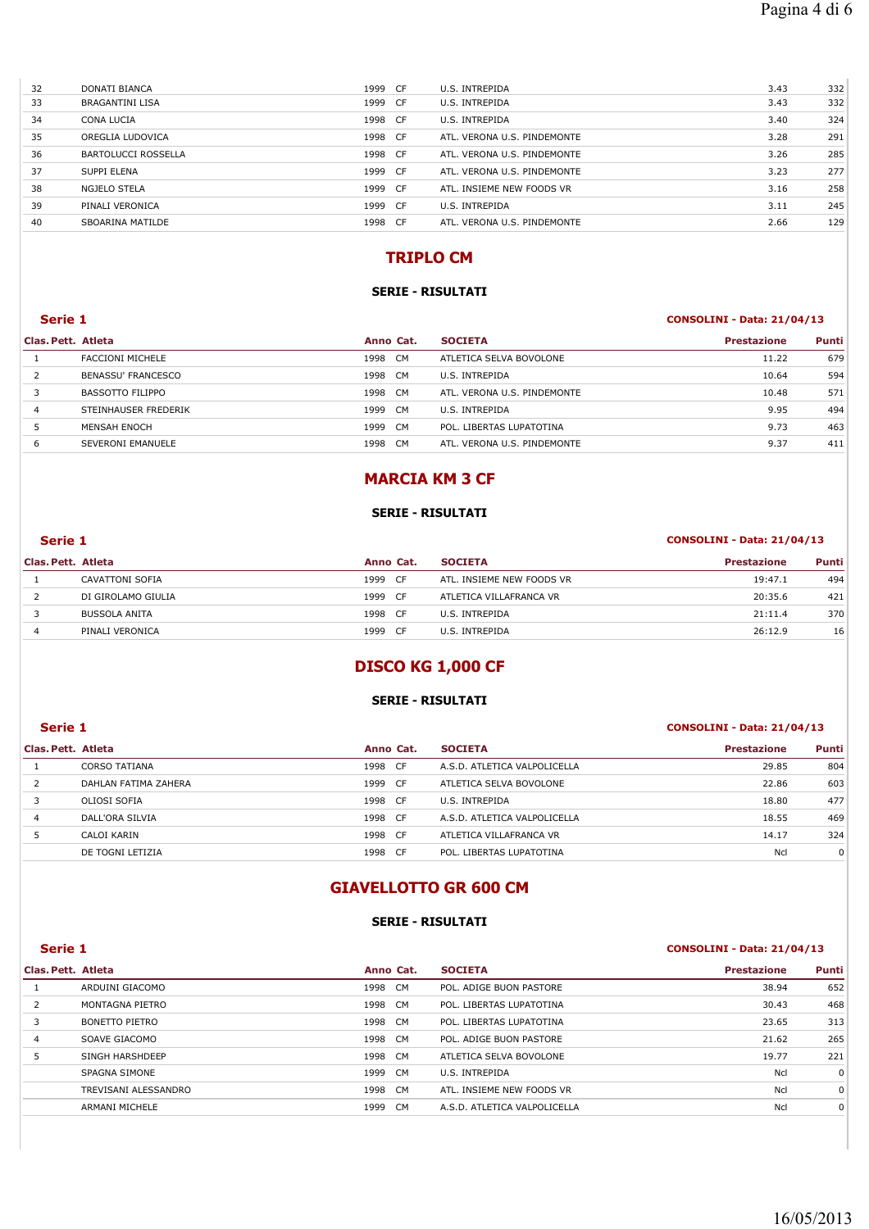| 32 | DONATI BIANCA              | 1999 CF | U.S. INTREPIDA              | 3.43 | 332 |
|----|----------------------------|---------|-----------------------------|------|-----|
| 33 | <b>BRAGANTINI LISA</b>     | 1999 CF | U.S. INTREPIDA              | 3.43 | 332 |
| 34 | CONA LUCIA                 | 1998 CF | U.S. INTREPIDA              | 3.40 | 324 |
| 35 | OREGLIA LUDOVICA           | 1998 CF | ATL. VERONA U.S. PINDEMONTE | 3.28 | 291 |
| 36 | <b>BARTOLUCCI ROSSELLA</b> | 1998 CF | ATL. VERONA U.S. PINDEMONTE | 3.26 | 285 |
| 37 | SUPPI ELENA                | 1999 CF | ATL. VERONA U.S. PINDEMONTE | 3.23 | 277 |
| 38 | <b>NGJELO STELA</b>        | 1999 CF | ATL. INSIEME NEW FOODS VR   | 3.16 | 258 |
| 39 | PINALI VERONICA            | 1999 CF | U.S. INTREPIDA              | 3.11 | 245 |
| 40 | SBOARINA MATILDE           | 1998 CF | ATL. VERONA U.S. PINDEMONTE | 2.66 | 129 |
|    |                            |         |                             |      |     |

# **TRIPLO CM**

## **SERIE - RISULTATI**

## **Serie 1 CONSOLINI - Data: 21/04/13**

| Clas. Pett. Atleta        |      | <b>SOCIETA</b>                                      | <b>Prestazione</b> | Punti |
|---------------------------|------|-----------------------------------------------------|--------------------|-------|
| <b>FACCIONI MICHELE</b>   | 1998 | ATLETICA SELVA BOVOLONE                             | 11.22              | 679   |
| <b>BENASSU' FRANCESCO</b> | 1998 | U.S. INTREPIDA                                      | 10.64              | 594   |
| BASSOTTO FILIPPO          | 1998 | ATL. VERONA U.S. PINDEMONTE                         | 10.48              | 571   |
| STEINHAUSER FREDERIK      | 1999 | U.S. INTREPIDA                                      | 9.95               | 494   |
| MENSAH ENOCH              | 1999 | POL. LIBERTAS LUPATOTINA                            | 9.73               | 463   |
| SEVERONI EMANUELE         | 1998 | ATL, VERONA U.S. PINDEMONTE                         | 9.37               | 411   |
|                           |      | Anno Cat.<br>CM.<br>CM.<br>CM.<br>CM.<br>CM.<br>CM. |                    |       |

# **MARCIA KM 3 CF**

## **SERIE - RISULTATI**

# **Serie 1 CONSOLINI - Data: 21/04/13**

| Clas. Pett. Atleta |                      | Anno Cat.    | <b>SOCIETA</b>            | <b>Prestazione</b> | Punti |
|--------------------|----------------------|--------------|---------------------------|--------------------|-------|
|                    | CAVATTONI SOFIA      | 1999<br>- CF | ATL. INSIEME NEW FOODS VR | 19:47.1            | 494   |
|                    | DI GIROLAMO GIULIA   | 1999<br>- CF | ATLETICA VILLAFRANCA VR   | 20:35.6            | 421   |
|                    | <b>BUSSOLA ANITA</b> | 1998<br>- CF | U.S. INTREPIDA            | 21:11.4            | 370   |
|                    | PINALI VERONICA      | 1999<br>- CF | U.S. INTREPIDA            | 26:12.9            | 16    |

# **DISCO KG 1,000 CF**

### **SERIE - RISULTATI**

## **Serie 1 CONSOLINI - Data: 21/04/13**

## **Clas. Pett. Atleta Anno Cat. SOCIETA Prestazione Punti** 1 CORSO TATIANA 1998 CF A.S.D. ATLETICA VALPOLICELLA 29.85 804 2 DAHLAN FATIMA ZAHERA 1999 CF ATLETICA SELVA BOVOLONE 1999 CF ATLETICA SELVA BOVOLONE 3 OLIOSI SOFIA 1998 CF U.S. INTREPIDA 18.80 477 4 DALL'ORA SILVIA 1998 CF A.S.D. ATLETICA VALPOLICELLA 18.55 469 5 CALOI KARIN 1998 CF ATLETICA VILLAFRANCA VR 1998 1998 CF ATLETICA VILLAFRANCA VR DE TOGNI LETIZIA NO POLO 1998 CF POL. LIBERTAS LUPATOTINA NEL 1998 CF POL. LIBERTAS LUPATOTINA NCL 0

# **GIAVELLOTTO GR 600 CM**

## **SERIE - RISULTATI**

# **Serie 1 CONSOLINI - Data: 21/04/13**

| Clas. Pett. Atleta |                       | Anno Cat.         | <b>SOCIETA</b>               | <b>Prestazione</b> | Punti    |
|--------------------|-----------------------|-------------------|------------------------------|--------------------|----------|
|                    | ARDUINI GIACOMO       | 1998 CM           | POL. ADIGE BUON PASTORE      | 38.94              | 652      |
|                    | MONTAGNA PIETRO       | 1998 CM           | POL. LIBERTAS LUPATOTINA     | 30.43              | 468      |
| 3                  | <b>BONETTO PIETRO</b> | 1998 CM           | POL. LIBERTAS LUPATOTINA     | 23.65              | 313      |
| 4                  | SOAVE GIACOMO         | 1998 CM           | POL. ADIGE BUON PASTORE      | 21.62              | 265      |
| 5                  | SINGH HARSHDEEP       | 1998 CM           | ATLETICA SELVA BOVOLONE      | 19.77              | 221      |
|                    | SPAGNA SIMONE         | 1999<br>CM        | U.S. INTREPIDA               | Ncl                | $\Omega$ |
|                    | TREVISANI ALESSANDRO  | 1998 CM           | ATL. INSIEME NEW FOODS VR    | Ncl                | $\Omega$ |
|                    | ARMANI MICHELE        | <b>CM</b><br>1999 | A.S.D. ATLETICA VALPOLICELLA | Ncl                | 0        |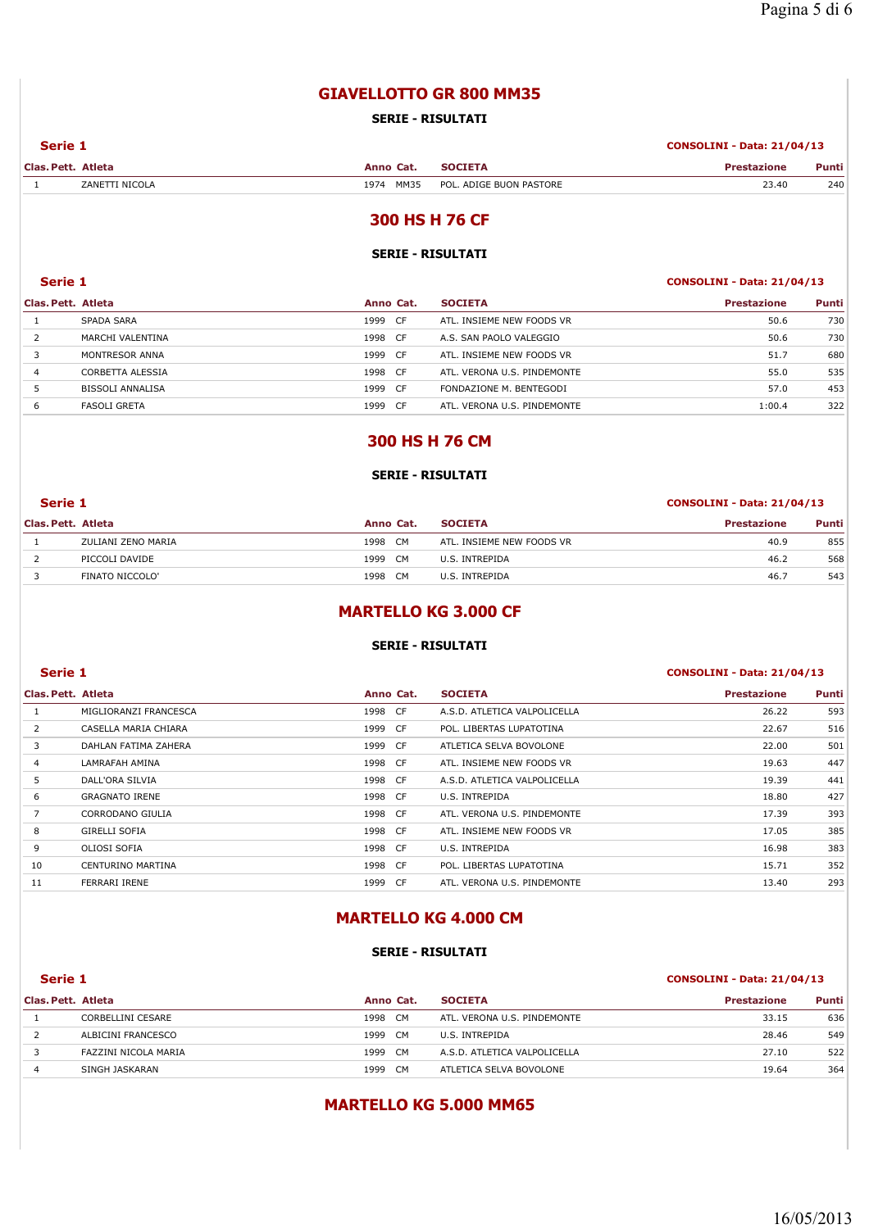# **GIAVELLOTTO GR 800 MM35**

## **SERIE - RISULTATI**

#### **Serie 1 CONSOLINI - Data: 21/04/13**

| Clas, Pett. | Atleta           | Anno<br>.    | _____                             | <b>Example</b><br>______ | Punti |
|-------------|------------------|--------------|-----------------------------------|--------------------------|-------|
|             | " NICOL<br>'ANET | MM35<br>1974 | POL.<br>E BUON PASTORE<br>. ADIGF | 23.40                    | 240   |

# **300 HS H 76 CF**

### **SERIE - RISULTATI**

## **Serie 1 CONSOLINI - Data: 21/04/13**

| Clas. Pett. Atleta |                     | Anno Cat.         | <b>SOCIETA</b>              | Prestazione | Punti |
|--------------------|---------------------|-------------------|-----------------------------|-------------|-------|
|                    | SPADA SARA          | 1999<br>CF        | ATL. INSIEME NEW FOODS VR   | 50.6        | 730   |
|                    | MARCHI VALENTINA    | 1998<br>CF.       | A.S. SAN PAOLO VALEGGIO     | 50.6        | 730   |
|                    | MONTRESOR ANNA      | 1999<br>CF.       | ATL. INSIEME NEW FOODS VR   | 51.7        | 680   |
| 4                  | CORBETTA ALESSIA    | 1998<br><b>CF</b> | ATL, VERONA U.S. PINDEMONTE | 55.0        | 535   |
|                    | BISSOLI ANNALISA    | 1999<br>CF.       | FONDAZIONE M. BENTEGODI     | 57.0        | 453   |
| 6                  | <b>FASOLI GRETA</b> | 1999<br>CF        | ATL. VERONA U.S. PINDEMONTE | 1:00.4      | 322   |

# **300 HS H 76 CM**

### **SERIE - RISULTATI**

## **Serie 1 CONSOLINI - Data: 21/04/13**

| Clas. Pett. Atleta |                    | Anno Cat.   | <b>SOCIETA</b>            | <b>Prestazione</b> | Punti |
|--------------------|--------------------|-------------|---------------------------|--------------------|-------|
|                    | ZULIANI ZENO MARIA | 1998<br>CM. | ATL. INSIEME NEW FOODS VR | 40.9               | 855   |
|                    | PICCOLI DAVIDE     | 1999<br>CM  | U.S. INTREPIDA            | 46.2               | 568   |
|                    | FINATO NICCOLO'    | 1998<br>CM. | U.S. INTREPIDA            | 46.7               | 543   |

# **MARTELLO KG 3.000 CF**

### **SERIE - RISULTATI**

# **Serie 1 CONSOLINI - Data: 21/04/13 Clas. Pett. Atleta Anno Cat. SOCIETA Prestazione Punti** 1 MIGLIORANZI FRANCESCA 1998 CF A.S.D. ATLETICA VALPOLICELLA 26.22 593 2 CASELLA MARIA CHIARA 1999 CF POL. LIBERTAS LUPATOTINA 1999 CF 22.67 516 3 DAHLAN FATIMA ZAHERA 1999 CF ATLETICA SELVA BOVOLONE 1999 CF ATLETICA SELVA BOVOLONE 4 LAMRAFAH AMINA 1998 CF ATL. INSIEME NEW FOODS VR 19.63 447 5 DALL'ORA SILVIA 1998 CF A.S.D. ATLETICA VALPOLICELLA 19.39 441 6 GRAGNATO IRENE 1998 CF U.S. INTREPIDA 18.80 427 7 CORRODANO GIULIA 1998 CF ATL. VERONA U.S. PINDEMONTE 17.39 393 8 GIRELLI SOFIA 17.05 385 9 OLIOSI SOFIA 1998 CF U.S. INTREPIDA 16.98 383 10 CENTURINO MARTINA 1998 CF POL. LIBERTAS LUPATOTINA 15.71 352 11 FERRARI IRENE 13.40 293 CF ATL. VERONA U.S. PINDEMONTE 13.40 293

# **MARTELLO KG 4.000 CM**

## **SERIE - RISULTATI**

#### **Serie 1 CONSOLINI - Data: 21/04/13**

| Clas. Pett. Atleta |                      | Anno Cat.    | <b>SOCIETA</b>               | <b>Prestazione</b> | <b>Punti</b> |
|--------------------|----------------------|--------------|------------------------------|--------------------|--------------|
|                    | CORBELLINI CESARE    | CM.<br>1998  | ATL, VERONA U.S. PINDEMONTE  | 33.15              | 636          |
|                    | ALBICINI FRANCESCO   | - CM<br>1999 | U.S. INTREPIDA               | 28.46              | 549          |
|                    | FAZZINI NICOLA MARIA | - CM<br>1999 | A.S.D. ATLETICA VALPOLICELLA | 27.10              | 522          |
|                    | SINGH JASKARAN       | CM.<br>1999  | ATLETICA SELVA BOVOLONE      | 19.64              | 364          |

# **MARTELLO KG 5.000 MM65**

## 16/05/2013